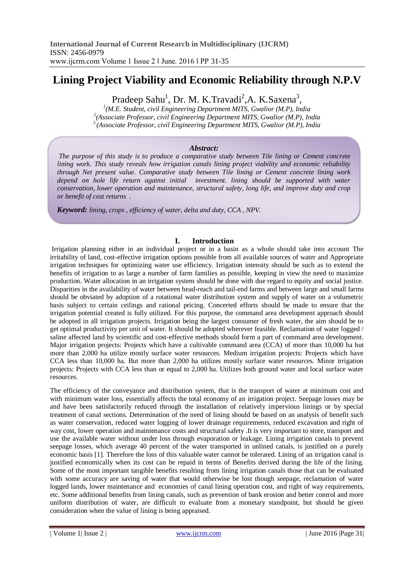# **Lining Project Viability and Economic Reliability through N.P.V**

Pradeep Sahu<sup>1</sup>, Dr. M. K.Travadi<sup>2</sup>, A. K.Saxena<sup>3</sup>,

*1 (M.E. Student, civil Engineering Department MITS, Gwalior (M.P), India 2 (Associate Professor, civil Engineering Department MITS, Gwalior (M.P), India <sup>3</sup>(Associate Professor, civil Engineering Department MITS, Gwalior (M.P), India*

## *Abstract:*

*The purpose of this study is to produce a comparative study between Tile lining or Cement concrete lining work. This study reveals how irrigation canals lining project viability and economic reliability through Net present value. Comparative study between Tile lining or Cement concrete lining work depend on hole life return against initial investment. lining should be supported with water conservation, lower operation and maintenance, structural safety, long life, and improve duty and crop or benefit of cost returns .*

*Keyword: lining, crops , efficiency of water, delta and duty, CCA , NPV.*

## **I. Introduction**

Irrigation planning either in an individual project or in a basin as a whole should take into account The irritability of land, cost-effective irrigation options possible from all available sources of water and Appropriate irrigation techniques for optimizing water use efficiency. Irrigation intensity should be such as to extend the benefits of irrigation to as large a number of farm families as possible, keeping in view the need to maximize production. Water allocation in an irrigation system should be done with due regard to equity and social justice. Disparities in the availability of water between head-reach and tail-end farms and between large and small farms should be obviated by adoption of a rotational water distribution system and supply of water on a volumetric basis subject to certain ceilings and rational pricing. Concerted efforts should be made to ensure that the irrigation potential created is fully utilized. For this purpose, the command area development approach should be adopted in all irrigation projects. Irrigation being the largest consumer of fresh water, the aim should be to get optimal productivity per unit of water. It should be adopted wherever feasible. Reclamation of water logged / saline affected land by scientific and cost-effective methods should form a part of command area development. Major irrigation projects: Projects which have a cultivable command area (CCA) of more than 10,000 ha hut more than 2,000 ha utilize mostly surface water resources. Medium irrigation projects: Projects which have CCA less than 10,000 ha. But more than 2,000 ha utilizes mostly surface water resources. Minor irrigation projects: Projects with CCA less than or equal to 2,000 ha. Utilizes both ground water and local surface water resources.

The efficiency of the conveyance and distribution system, that is the transport of water at minimum cost and with minimum water loss, essentially affects the total economy of an irrigation project. Seepage losses may be and have been satisfactorily reduced through the installation of relatively impervious linings or by special treatment of canal sections. Determination of the need of lining should be based on an analysis of benefit such as water conservation, reduced water logging of lower drainage requirements, reduced excavation and right of way cost, lower operation and maintenance costs and structural safety .It is very important to store, transport and use the available water without under loss through evaporation or leakage. Lining irrigation canals to prevent seepage losses, which average 40 percent of the water transported in unlined canals, is justified on a purely economic basis [1]. Therefore the loss of this valuable water cannot be tolerated. Lining of an irrigation canal is justified economically when its cost can be repaid in terms of Benefits derived during the life of the lining. Some of the most important tangible benefits resulting from lining irrigation canals those that can be evaluated with some accuracy are saving of water that would otherwise be lost though seepage, reclamation of water logged lands, lower maintenance and economies of canal lining operation cost, and right of way requirements, etc. Some additional benefits from lining canals, such as prevention of bank erosion and better control and more uniform distribution of water, are difficult to evaluate from a monetary standpoint, but should be given consideration when the value of lining is being appraised.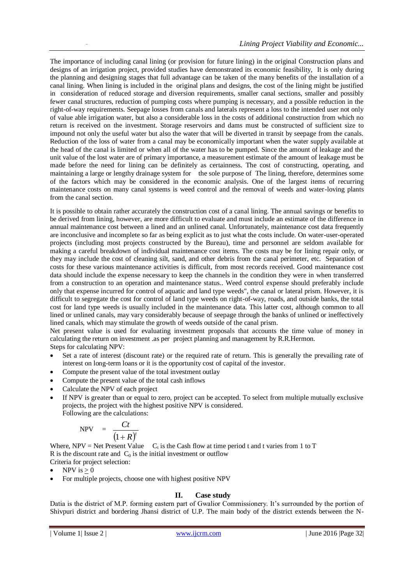The importance of including canal lining (or provision for future lining) in the original Construction plans and designs of an irrigation project, provided studies have demonstrated its economic feasibility, It is only during the planning and designing stages that full advantage can be taken of the many benefits of the installation of a canal lining. When lining is included in the original plans and designs, the cost of the lining might be justified in consideration of reduced storage and diversion requirements, smaller canal sections, smaller and possibly fewer canal structures, reduction of pumping costs where pumping is necessary, and a possible reduction in the right-of-way requirements. Seepage losses from canals and laterals represent a loss to the intended user not only of value able irrigation water, but also a considerable loss in the costs of additional construction from which no return is received on the investment. Storage reservoirs and dams must be constructed of sufficient size to impound not only the useful water but also the water that will be diverted in transit by seepage from the canals. Reduction of the loss of water from a canal may be economically important when the water supply available at the head of the canal is limited or when all of the water has to be pumped. Since the amount of leakage and the unit value of the lost water are of primary importance, a measurement estimate of the amount of leakage must be made before the need for lining can be definitely as certainness. The cost of constructing, operating, and maintaining a large or lengthy drainage system for the sole purpose of The lining, therefore, determines some of the factors which may be considered in the economic analysis. One of the largest items of recurring maintenance costs on many canal systems is weed control and the removal of weeds and water-loving plants from the canal section.

It is possible to obtain rather accurately the construction cost of a canal lining. The annual savings or benefits to be derived from lining, however, are more difficult to evaluate and must include an estimate of the difference in annual maintenance cost between a lined and an unlined canal. Unfortunately, maintenance cost data frequently are inconclusive and incomplete so far as being explicit as to just what the costs include. On water-user-operated projects (including most projects constructed by the Bureau), time and personnel are seldom available for making a careful breakdown of individual maintenance cost items. The costs may be for lining repair only, or they may include the cost of cleaning silt, sand, and other debris from the canal perimeter, etc. Separation of costs for these various maintenance activities is difficult, from most records received. Good maintenance cost data should include the expense necessary to keep the channels in the condition they were in when transferred from a construction to an operation and maintenance status.. Weed control expense should preferably include only that expense incurred for control of aquatic and land type weeds", the canal or lateral prism. However, it is difficult to segregate the cost for control of land type weeds on right-of-way, roads, and outside banks, the total cost for land type weeds is usually included in the maintenance data. This latter cost, although common to all lined or unlined canals, may vary considerably because of seepage through the banks of unlined or ineffectively lined canals, which may stimulate the growth of weeds outside of the canal prism.

Net present value is used for evaluating investment proposals that accounts the time value of money in calculating the return on investment .as per project planning and management by R.R.Hermon. Steps for calculating NPV:

- Set a rate of interest (discount rate) or the required rate of return. This is generally the prevailing rate of interest on long-term loans or it is the opportunity cost of capital of the investor.
- Compute the present value of the total investment outlay
- Compute the present value of the total cash inflows
- Calculate the NPV of each project
- If NPV is greater than or equal to zero, project can be accepted. To select from multiple mutually exclusive projects, the project with the highest positive NPV is considered. Following are the calculations:

$$
\text{NPV} = \frac{Ct}{(1+R)^t}
$$

Where, NPV = Net Present Value  $C_t$  is the Cash flow at time period t and t varies from 1 to T R is the discount rate and  $C_0$  is the initial investment or outflow

- Criteria for project selection:
- NPV is  $> 0$
- For multiple projects, choose one with highest positive NPV

# **II. Case study**

Datia is the district of M.P. forming eastern part of Gwalior Commissionery. It's surrounded by the portion of Shivpuri district and bordering Jhansi district of U.P. The main body of the district extends between the N-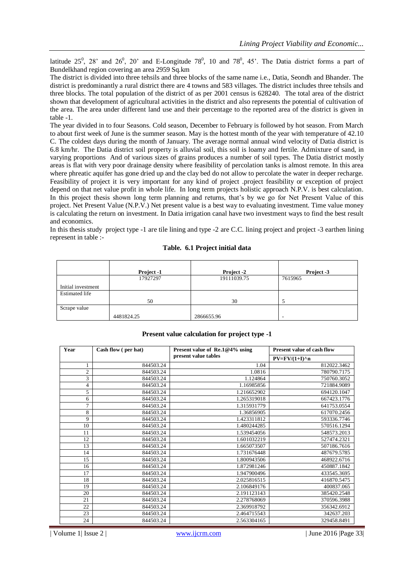latitude  $25^0$ ,  $28'$  and  $26^0$ ,  $20'$  and E-Longitude  $78^0$ ,  $10$  and  $78^0$ ,  $45'$ . The Datia district forms a part of Bundelkhand region covering an area 2959 Sq.km

The district is divided into three tehsils and three blocks of the same name i.e., Datia, Seondh and Bhander. The district is predominantly a rural district there are 4 towns and 583 villages. The district includes three tehsils and three blocks. The total population of the district of as per 2001 census is 628240. The total area of the district shown that development of agricultural activities in the district and also represents the potential of cultivation of the area. The area under different land use and their percentage to the reported area of the district is given in table -1.

The year divided in to four Seasons. Cold season, December to February is followed by hot season. From March to about first week of June is the summer season. May is the hottest month of the year with temperature of 42.10 C. The coldest days during the month of January. The average normal annual wind velocity of Datia district is 6.8 km/hr. The Datia district soil property is alluvial soil, this soil is loamy and fertile. Admixture of sand, in varying proportions And of various sizes of grains produces a number of soil types. The Datia district mostly areas is flat with very poor drainage density where feasibility of percolation tanks is almost remote. In this area where phreatic aquifer has gone dried up and the clay bed do not allow to percolate the water in deeper recharge. Feasibility of project it is very important for any kind of project .project feasibility or exception of project depend on that net value profit in whole life. In long term projects holistic approach N.P.V. is best calculation. In this project thesis shown long term planning and returns, that's by we go for Net Present Value of this project. Net Present Value (N.P.V.) Net present value is a best way to evaluating investment. Time value money is calculating the return on investment. In Datia irrigation canal have two investment ways to find the best result and economics.

In this thesis study project type -1 are tile lining and type -2 are C.C. lining project and project -3 earthen lining represent in table :-

## **Table. 6.1 Project initial data**

|                       | Project -1 | Project -2  | Project -3 |
|-----------------------|------------|-------------|------------|
|                       | 17927297   | 19111039.75 | 7615965    |
| Initial investment    |            |             |            |
| <b>Estimated life</b> |            |             |            |
|                       | 50         | 30          |            |
| Scrape value          |            |             |            |
|                       | 4481824.25 | 2866655.96  | -          |

#### **Present value calculation for project type -1**

| Year           | Cash flow (per hat) | Present value of Re.1@4% using | <b>Present value of cash flow</b> |
|----------------|---------------------|--------------------------------|-----------------------------------|
|                |                     | present value tables           | $PV=FV/(1+I)^n$ n                 |
| 1              | 844503.24           | 1.04                           | 812022.3462                       |
| $\overline{c}$ | 844503.24           | 1.0816                         | 780790.7175                       |
| 3              | 844503.24           | 1.124864                       | 750760.3052                       |
| 4              | 844503.24           | 1.16985856                     | 721884.9089                       |
| 5              | 844503.24           | 1.216652902                    | 694120.1047                       |
| 6              | 844503.24           | 1.265319018                    | 667423.1776                       |
| 7              | 844503.24           | 1.315931779                    | 641753.0554                       |
| 8              | 844503.24           | 1.36856905                     | 617070.2456                       |
| 9              | 844503.24           | 1.423311812                    | 593336.7746                       |
| 10             | 844503.24           | 1.480244285                    | 570516.1294                       |
| 11             | 844503.24           | 1.539454056                    | 548573.2013                       |
| 12             | 844503.24           | 1.601032219                    | 527474.2321                       |
| 13             | 844503.24           | 1.665073507                    | 507186.7616                       |
| 14             | 844503.24           | 1.731676448                    | 487679.5785                       |
| 15             | 844503.24           | 1.800943506                    | 468922.6716                       |
| 16             | 844503.24           | 1.872981246                    | 450887.1842                       |
| 17             | 844503.24           | 1.947900496                    | 433545.3695                       |
| 18             | 844503.24           | 2.025816515                    | 416870.5475                       |
| 19             | 844503.24           | 2.106849176                    | 400837.065                        |
| 20             | 844503.24           | 2.191123143                    | 385420.2548                       |
| 21             | 844503.24           | 2.278768069                    | 370596.3988                       |
| 22             | 844503.24           | 2.369918792                    | 356342.6912                       |
| 23             | 844503.24           | 2.464715543                    | 342637.203                        |
| 24             | 844503.24           | 2.563304165                    | 329458.8491                       |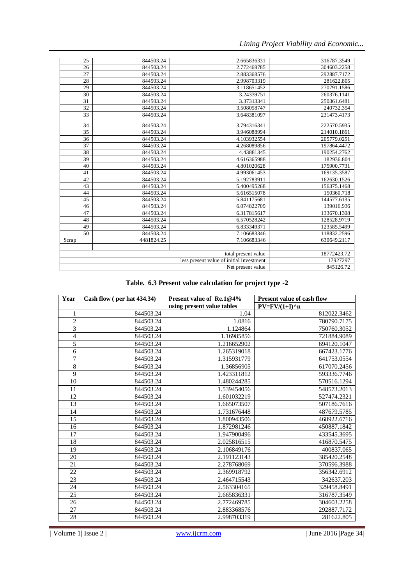*Lining Project Viability and Economic...*

| 25    | 844503.24  | 2.665836331                                                     | 316787.3549 |
|-------|------------|-----------------------------------------------------------------|-------------|
| 26    | 844503.24  | 2.772469785                                                     | 304603.2258 |
| 27    | 844503.24  | 2.883368576                                                     | 292887.7172 |
| 28    | 844503.24  | 2.998703319                                                     | 281622.805  |
| 29    | 844503.24  | 3.118651452                                                     | 270791.1586 |
| 30    | 844503.24  | 3.24339751                                                      | 260376.1141 |
| 31    | 844503.24  | 3.37313341                                                      | 250361.6481 |
| 32    | 844503.24  | 3.508058747                                                     | 240732.354  |
| 33    | 844503.24  | 3.648381097                                                     | 231473.4173 |
|       |            |                                                                 |             |
| 34    | 844503.24  | 3.794316341                                                     | 222570.5935 |
| 35    | 844503.24  | 3.946088994                                                     | 214010.1861 |
| 36    | 844503.24  | 4.103932554                                                     | 205779.0251 |
| 37    | 844503.24  | 4.268089856                                                     | 197864.4472 |
| 38    | 844503.24  | 4.43881345                                                      | 190254.2762 |
| 39    | 844503.24  | 4.616365988                                                     | 182936.804  |
| 40    | 844503.24  | 4.801020628                                                     | 175900.7731 |
| 41    | 844503.24  | 4.993061453                                                     | 169135.3587 |
| 42    | 844503.24  | 5.192783911                                                     | 162630.1526 |
| 43    | 844503.24  | 5.400495268                                                     | 156375.1468 |
| 44    | 844503.24  | 5.616515078                                                     | 150360.718  |
| 45    | 844503.24  | 5.841175681                                                     | 144577.6135 |
| 46    | 844503.24  | 6.074822709                                                     | 139016.936  |
| 47    | 844503.24  | 6.317815617                                                     | 133670.1308 |
| 48    | 844503.24  | 6.570528242                                                     | 128528.9719 |
| 49    | 844503.24  | 6.833349371                                                     | 123585.5499 |
| 50    | 844503.24  | 7.106683346                                                     | 118832.2596 |
| Scrap | 4481824.25 | 7.106683346                                                     | 630649.2117 |
|       |            |                                                                 |             |
|       |            | total present value<br>less present value of initial investment | 18772423.72 |
|       |            | 17927297                                                        |             |
|       |            | 845126.72                                                       |             |

|  |  | Table. 6.3 Present value calculation for project type -2 |  |  |  |
|--|--|----------------------------------------------------------|--|--|--|
|--|--|----------------------------------------------------------|--|--|--|

| Year           | Cash flow (per hat 434.34) | Present value of Re.1@4%   | <b>Present value of cash flow</b> |
|----------------|----------------------------|----------------------------|-----------------------------------|
|                |                            | using present value tables | $PV=FV/(1+I)^n$ n                 |
| 1              | 844503.24                  | 1.04                       | 812022.3462                       |
| $\overline{2}$ | 844503.24                  | 1.0816                     | 780790.7175                       |
| 3              | 844503.24                  | 1.124864                   | 750760.3052                       |
| $\overline{4}$ | 844503.24                  | 1.16985856                 | 721884.9089                       |
| 5              | 844503.24                  | 1.216652902                | 694120.1047                       |
| 6              | 844503.24                  | 1.265319018                | 667423.1776                       |
| 7              | 844503.24                  | 1.315931779                | 641753.0554                       |
| $\,$ 8 $\,$    | 844503.24                  | 1.36856905                 | 617070.2456                       |
| 9              | 844503.24                  | 1.423311812                | 593336.7746                       |
| 10             | 844503.24                  | 1.480244285                | 570516.1294                       |
| 11             | 844503.24                  | 1.539454056                | 548573.2013                       |
| 12             | 844503.24                  | 1.601032219                | 527474.2321                       |
| 13             | 844503.24                  | 1.665073507                | 507186.7616                       |
| 14             | 844503.24                  | 1.731676448                | 487679.5785                       |
| 15             | 844503.24                  | 1.800943506                | 468922.6716                       |
| 16             | 844503.24                  | 1.872981246                | 450887.1842                       |
| 17             | 844503.24                  | 1.947900496                | 433545.3695                       |
| 18             | 844503.24                  | 2.025816515                | 416870.5475                       |
| 19             | 844503.24                  | 2.106849176                | 400837.065                        |
| 20             | 844503.24                  | 2.191123143                | 385420.2548                       |
| 21             | 844503.24                  | 2.278768069                | 370596.3988                       |
| 22             | 844503.24                  | 2.369918792                | 356342.6912                       |
| 23             | 844503.24                  | 2.464715543                | 342637.203                        |
| 24             | 844503.24                  | 2.563304165                | 329458.8491                       |
| 25             | 844503.24                  | 2.665836331                | 316787.3549                       |
| 26             | 844503.24                  | 2.772469785                | 304603.2258                       |
| 27             | 844503.24                  | 2.883368576                | 292887.7172                       |
| 28             | 844503.24                  | 2.998703319                | 281622.805                        |

| Volume 1| Issue 2 | www.ijcrm.com | June 2016 | Page 34|